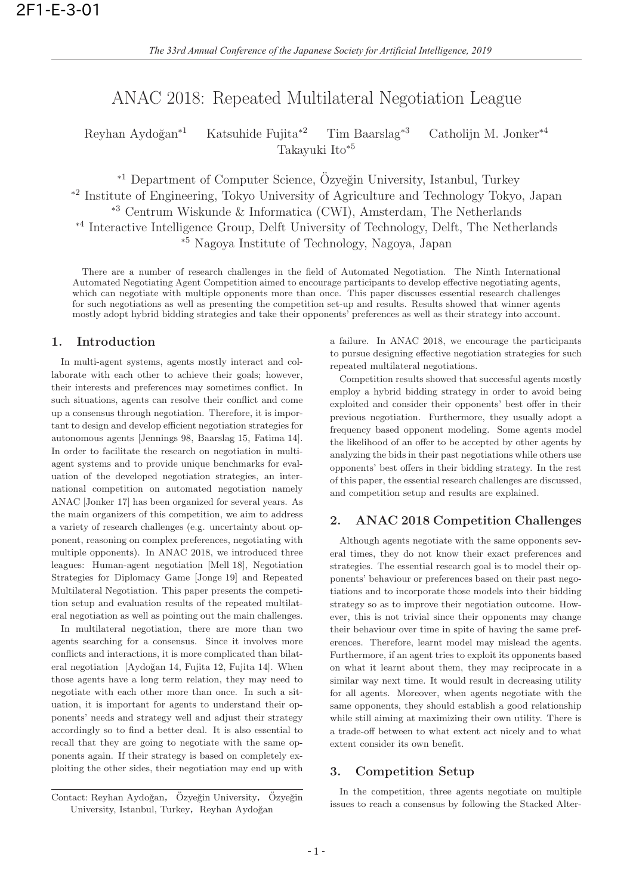# ANAC 2018: Repeated Multilateral Negotiation League

Reyhan Aydo˘gan∗<sup>1</sup> Katsuhide Fujita∗<sup>2</sup> Tim Baarslag∗<sup>3</sup> Catholijn M. Jonker∗<sup>4</sup> Takayuki Ito∗<sup>5</sup>

∗<sup>1</sup> Department of Computer Science, Özyeğin University, Istanbul, Turkey <sup>∗</sup><sup>2</sup> Institute of Engineering, Tokyo University of Agriculture and Technology Tokyo, Japan <sup>∗</sup><sup>3</sup> Centrum Wiskunde & Informatica (CWI), Amsterdam, The Netherlands <sup>∗</sup><sup>4</sup> Interactive Intelligence Group, Delft University of Technology, Delft, The Netherlands <sup>∗</sup><sup>5</sup> Nagoya Institute of Technology, Nagoya, Japan

There are a number of research challenges in the field of Automated Negotiation. The Ninth International Automated Negotiating Agent Competition aimed to encourage participants to develop effective negotiating agents, which can negotiate with multiple opponents more than once. This paper discusses essential research challenges for such negotiations as well as presenting the competition set-up and results. Results showed that winner agents mostly adopt hybrid bidding strategies and take their opponents' preferences as well as their strategy into account.

# **1. Introduction**

In multi-agent systems, agents mostly interact and collaborate with each other to achieve their goals; however, their interests and preferences may sometimes conflict. In such situations, agents can resolve their conflict and come up a consensus through negotiation. Therefore, it is important to design and develop efficient negotiation strategies for autonomous agents [Jennings 98, Baarslag 15, Fatima 14]. In order to facilitate the research on negotiation in multiagent systems and to provide unique benchmarks for evaluation of the developed negotiation strategies, an international competition on automated negotiation namely ANAC [Jonker 17] has been organized for several years. As the main organizers of this competition, we aim to address a variety of research challenges (e.g. uncertainty about opponent, reasoning on complex preferences, negotiating with multiple opponents). In ANAC 2018, we introduced three leagues: Human-agent negotiation [Mell 18], Negotiation Strategies for Diplomacy Game [Jonge 19] and Repeated Multilateral Negotiation. This paper presents the competition setup and evaluation results of the repeated multilateral negotiation as well as pointing out the main challenges.

In multilateral negotiation, there are more than two agents searching for a consensus. Since it involves more conflicts and interactions, it is more complicated than bilateral negotiation [Aydoğan 14, Fujita 12, Fujita 14]. When those agents have a long term relation, they may need to negotiate with each other more than once. In such a situation, it is important for agents to understand their opponents' needs and strategy well and adjust their strategy accordingly so to find a better deal. It is also essential to recall that they are going to negotiate with the same opponents again. If their strategy is based on completely exploiting the other sides, their negotiation may end up with

Contact: Reyhan Aydoğan, Özyeğin University, Özyeğin University, Istanbul, Turkey, Reyhan Aydoğan

a failure. In ANAC 2018, we encourage the participants to pursue designing effective negotiation strategies for such repeated multilateral negotiations.

Competition results showed that successful agents mostly employ a hybrid bidding strategy in order to avoid being exploited and consider their opponents' best offer in their previous negotiation. Furthermore, they usually adopt a frequency based opponent modeling. Some agents model the likelihood of an offer to be accepted by other agents by analyzing the bids in their past negotiations while others use opponents' best offers in their bidding strategy. In the rest of this paper, the essential research challenges are discussed, and competition setup and results are explained.

### **2. ANAC 2018 Competition Challenges**

Although agents negotiate with the same opponents several times, they do not know their exact preferences and strategies. The essential research goal is to model their opponents' behaviour or preferences based on their past negotiations and to incorporate those models into their bidding strategy so as to improve their negotiation outcome. However, this is not trivial since their opponents may change their behaviour over time in spite of having the same preferences. Therefore, learnt model may mislead the agents. Furthermore, if an agent tries to exploit its opponents based on what it learnt about them, they may reciprocate in a similar way next time. It would result in decreasing utility for all agents. Moreover, when agents negotiate with the same opponents, they should establish a good relationship while still aiming at maximizing their own utility. There is a trade-off between to what extent act nicely and to what extent consider its own benefit.

# **3. Competition Setup**

In the competition, three agents negotiate on multiple issues to reach a consensus by following the Stacked Alter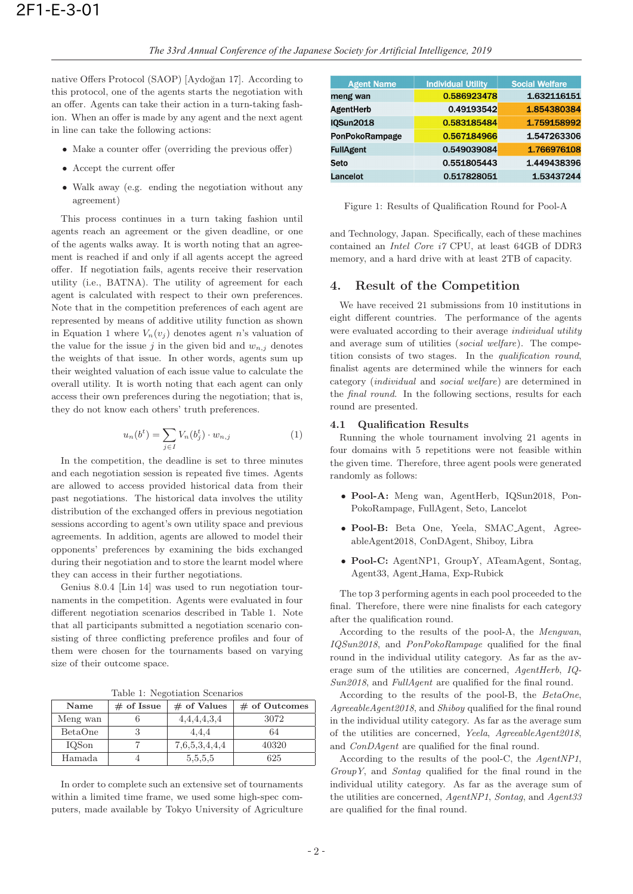native Offers Protocol (SAOP) [Aydoğan 17]. According to this protocol, one of the agents starts the negotiation with an offer. Agents can take their action in a turn-taking fashion. When an offer is made by any agent and the next agent in line can take the following actions:

- Make a counter offer (overriding the previous offer)
- Accept the current offer
- Walk away (e.g. ending the negotiation without any agreement)

This process continues in a turn taking fashion until agents reach an agreement or the given deadline, or one of the agents walks away. It is worth noting that an agreement is reached if and only if all agents accept the agreed offer. If negotiation fails, agents receive their reservation utility (i.e., BATNA). The utility of agreement for each agent is calculated with respect to their own preferences. Note that in the competition preferences of each agent are represented by means of additive utility function as shown in Equation 1 where  $V_n(v_i)$  denotes agent n's valuation of the value for the issue j in the given bid and  $w_{n,j}$  denotes the weights of that issue. In other words, agents sum up their weighted valuation of each issue value to calculate the overall utility. It is worth noting that each agent can only access their own preferences during the negotiation; that is, they do not know each others' truth preferences.

$$
u_n(b^t) = \sum_{j \in I} V_n(b_j^t) \cdot w_{n,j} \tag{1}
$$

In the competition, the deadline is set to three minutes and each negotiation session is repeated five times. Agents are allowed to access provided historical data from their past negotiations. The historical data involves the utility distribution of the exchanged offers in previous negotiation sessions according to agent's own utility space and previous agreements. In addition, agents are allowed to model their opponents' preferences by examining the bids exchanged during their negotiation and to store the learnt model where they can access in their further negotiations.

Genius 8.0.4 [Lin 14] was used to run negotiation tournaments in the competition. Agents were evaluated in four different negotiation scenarios described in Table 1. Note that all participants submitted a negotiation scenario consisting of three conflicting preference profiles and four of them were chosen for the tournaments based on varying size of their outcome space.

Table 1: Negotiation Scenarios

| Name     | $\#$ of Issue | $#$ of Values | $\#$ of Outcomes |
|----------|---------------|---------------|------------------|
| Meng wan |               | 4,4,4,4,3,4   | 3072             |
| BetaOne  |               | 4,4,4         | 64               |
| IQSon    |               | 7,6,5,3,4,4,4 | 40320            |
| Hamada   |               | 5, 5, 5, 5    | 625              |

In order to complete such an extensive set of tournaments within a limited time frame, we used some high-spec computers, made available by Tokyo University of Agriculture

| <b>Agent Name</b> | <b>Individual Utility</b> | <b>Social Welfare</b> |
|-------------------|---------------------------|-----------------------|
| meng wan          | 0.586923478               | 1.632116151           |
| <b>AgentHerb</b>  | 0.49193542                | 1.854380384           |
| <b>IQSun2018</b>  | 0.583185484               | 1.759158992           |
| PonPokoRampage    | 0.567184966               | 1.547263306           |
| <b>FullAgent</b>  | 0.549039084               | 1.766976108           |
| Seto              | 0.551805443               | 1.449438396           |
| Lancelot          | 0.517828051               | 1.53437244            |

Figure 1: Results of Qualification Round for Pool-A

and Technology, Japan. Specifically, each of these machines contained an Intel Core i7 CPU, at least 64GB of DDR3 memory, and a hard drive with at least 2TB of capacity.

### **4. Result of the Competition**

We have received 21 submissions from 10 institutions in eight different countries. The performance of the agents were evaluated according to their average *individual utility* and average sum of utilities (social welfare). The competition consists of two stages. In the qualification round, finalist agents are determined while the winners for each category (individual and social welfare) are determined in the final round. In the following sections, results for each round are presented.

#### **4.1 Qualification Results**

Running the whole tournament involving 21 agents in four domains with 5 repetitions were not feasible within the given time. Therefore, three agent pools were generated randomly as follows:

- **Pool-A:** Meng wan, AgentHerb, IQSun2018, Pon-PokoRampage, FullAgent, Seto, Lancelot
- **Pool-B:** Beta One, Yeela, SMAC Agent, AgreeableAgent2018, ConDAgent, Shiboy, Libra
- **Pool-C:** AgentNP1, GroupY, ATeamAgent, Sontag, Agent33, Agent Hama, Exp-Rubick

The top 3 performing agents in each pool proceeded to the final. Therefore, there were nine finalists for each category after the qualification round.

According to the results of the pool-A, the Mengwan, IQSun2018, and PonPokoRampage qualified for the final round in the individual utility category. As far as the average sum of the utilities are concerned, AgentHerb, IQ-Sun2018, and FullAgent are qualified for the final round.

According to the results of the pool-B, the BetaOne, AgreeableAgent2018, and Shiboy qualified for the final round in the individual utility category. As far as the average sum of the utilities are concerned, Yeela, AgreeableAgent2018, and ConDAgent are qualified for the final round.

According to the results of the pool-C, the AgentNP1, GroupY, and Sontag qualified for the final round in the individual utility category. As far as the average sum of the utilities are concerned, AgentNP1, Sontag, and Agent33 are qualified for the final round.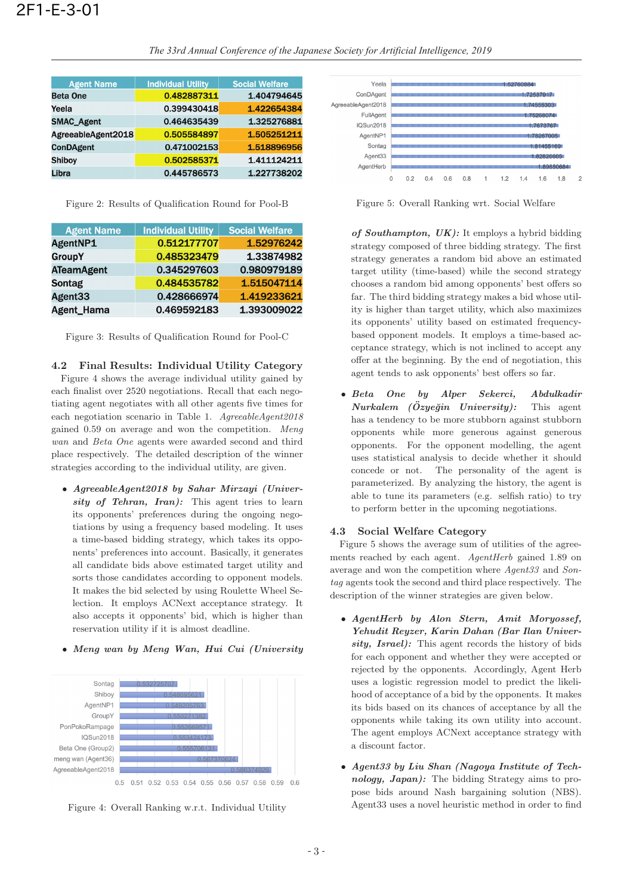| <b>Agent Name</b>  | <b>Individual Utility</b> | <b>Social Welfare</b> |
|--------------------|---------------------------|-----------------------|
| <b>Beta One</b>    | 0.482887311               | 1.404794645           |
| Yeela              | 0.399430418               | 1.422654384           |
| <b>SMAC Agent</b>  | 0.464635439               | 1.325276881           |
| AgreeableAgent2018 | 0.505584897               | 1.505251211           |
| <b>ConDAgent</b>   | 0.471002153               | 1.518896956           |
| <b>Shiboy</b>      | 0.502585371               | 1.411124211           |
| Libra              | 0.445786573               | 1.227738202           |

Figure 2: Results of Qualification Round for Pool-B

| <b>Agent Name</b> | <b>Individual Utility</b> | <b>Social Welfare</b> |
|-------------------|---------------------------|-----------------------|
| AgentNP1          | 0.512177707               | 1.52976242            |
| <b>GroupY</b>     | 0.485323479               | 1.33874982            |
| <b>ATeamAgent</b> | 0.345297603               | 0.980979189           |
| <b>Sontag</b>     | 0.484535782               | 1.515047114           |
| Agent33           | 0.428666974               | 1.419233621           |
| Agent_Hama        | 0.469592183               | 1.393009022           |

Figure 3: Results of Qualification Round for Pool-C

**4.2 Final Results: Individual Utility Category** Figure 4 shows the average individual utility gained by each finalist over 2520 negotiations. Recall that each negotiating agent negotiates with all other agents five times for each negotiation scenario in Table 1. AgreeableAgent2018 gained 0.59 on average and won the competition. Meng wan and Beta One agents were awarded second and third place respectively. The detailed description of the winner strategies according to the individual utility, are given.

• *AgreeableAgent2018 by Sahar Mirzayi (Univer*sity of Tehran, Iran): This agent tries to learn its opponents' preferences during the ongoing negotiations by using a frequency based modeling. It uses a time-based bidding strategy, which takes its opponents' preferences into account. Basically, it generates all candidate bids above estimated target utility and sorts those candidates according to opponent models. It makes the bid selected by using Roulette Wheel Selection. It employs ACNext acceptance strategy. It also accepts it opponents' bid, which is higher than reservation utility if it is almost deadline.









Figure 5: Overall Ranking wrt. Social Welfare

*of Southampton, UK):* It employs a hybrid bidding strategy composed of three bidding strategy. The first strategy generates a random bid above an estimated target utility (time-based) while the second strategy chooses a random bid among opponents' best offers so far. The third bidding strategy makes a bid whose utility is higher than target utility, which also maximizes its opponents' utility based on estimated frequencybased opponent models. It employs a time-based acceptance strategy, which is not inclined to accept any offer at the beginning. By the end of negotiation, this agent tends to ask opponents' best offers so far.

• *Beta One by Alper Sekerci, Abdulkadir Nurkalem (Özyeğin University):* has a tendency to be more stubborn against stubborn opponents while more generous against generous opponents. For the opponent modelling, the agent uses statistical analysis to decide whether it should concede or not. The personality of the agent is parameterized. By analyzing the history, the agent is able to tune its parameters (e.g. selfish ratio) to try to perform better in the upcoming negotiations.

### **4.3 Social Welfare Category**

Figure 5 shows the average sum of utilities of the agreements reached by each agent. AgentHerb gained 1.89 on average and won the competition where Agent33 and Sontag agents took the second and third place respectively. The description of the winner strategies are given below.

- *AgentHerb by Alon Stern, Amit Moryossef, Yehudit Reyzer, Karin Dahan (Bar Ilan University, Israel):* This agent records the history of bids for each opponent and whether they were accepted or rejected by the opponents. Accordingly, Agent Herb uses a logistic regression model to predict the likelihood of acceptance of a bid by the opponents. It makes its bids based on its chances of acceptance by all the opponents while taking its own utility into account. The agent employs ACNext acceptance strategy with a discount factor.
- *Agent33 by Liu Shan (Nagoya Institute of Technology, Japan):* The bidding Strategy aims to propose bids around Nash bargaining solution (NBS). Agent33 uses a novel heuristic method in order to find